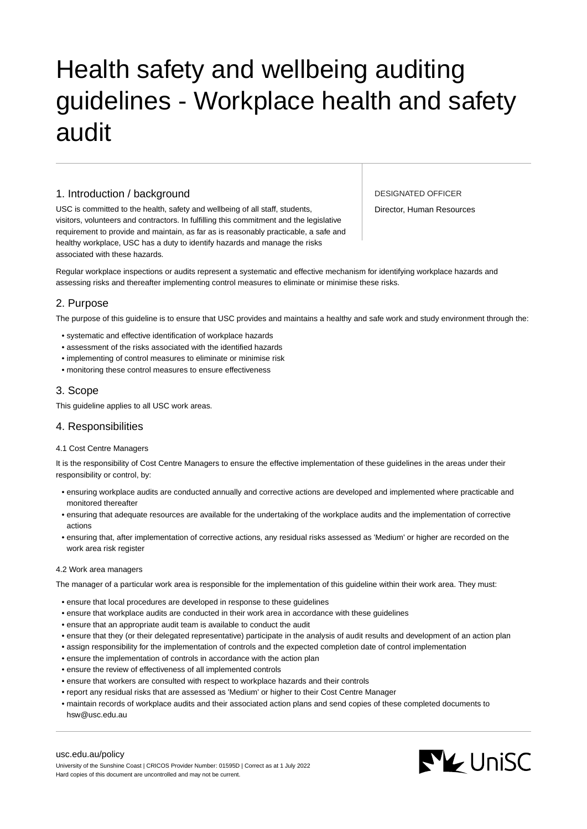# Health safety and wellbeing auditing guidelines - Workplace health and safety audit

# 1. Introduction / background

USC is committed to the health, safety and wellbeing of all staff, students, visitors, volunteers and contractors. In fulfilling this commitment and the legislative requirement to provide and maintain, as far as is reasonably practicable, a safe and healthy workplace, USC has a duty to identify hazards and manage the risks associated with these hazards.

DESIGNATED OFFICER

Director, Human Resources

Regular workplace inspections or audits represent a systematic and effective mechanism for identifying workplace hazards and assessing risks and thereafter implementing control measures to eliminate or minimise these risks.

# 2. Purpose

The purpose of this guideline is to ensure that USC provides and maintains a healthy and safe work and study environment through the:

- systematic and effective identification of workplace hazards
- assessment of the risks associated with the identified hazards
- implementing of control measures to eliminate or minimise risk
- monitoring these control measures to ensure effectiveness

# 3. Scope

This guideline applies to all USC work areas.

# 4. Responsibilities

## 4.1 Cost Centre Managers

It is the responsibility of Cost Centre Managers to ensure the effective implementation of these guidelines in the areas under their responsibility or control, by:

- ensuring workplace audits are conducted annually and corrective actions are developed and implemented where practicable and monitored thereafter
- ensuring that adequate resources are available for the undertaking of the workplace audits and the implementation of corrective actions
- ensuring that, after implementation of corrective actions, any residual risks assessed as 'Medium' or higher are recorded on the work area risk register

## 4.2 Work area managers

The manager of a particular work area is responsible for the implementation of this guideline within their work area. They must:

- ensure that local procedures are developed in response to these guidelines
- ensure that workplace audits are conducted in their work area in accordance with these guidelines
- ensure that an appropriate audit team is available to conduct the audit
- ensure that they (or their delegated representative) participate in the analysis of audit results and development of an action plan
- assign responsibility for the implementation of controls and the expected completion date of control implementation
- ensure the implementation of controls in accordance with the action plan
- ensure the review of effectiveness of all implemented controls
- ensure that workers are consulted with respect to workplace hazards and their controls
- report any residual risks that are assessed as 'Medium' or higher to their Cost Centre Manager
- maintain records of workplace audits and their associated action plans and send copies of these completed documents to hsw@usc.edu.au

#### [usc.edu.au/policy](https://www.usc.edu.au/policy)

University of the Sunshine Coast | CRICOS Provider Number: 01595D | Correct as at 1 July 2022 Hard copies of this document are uncontrolled and may not be current.

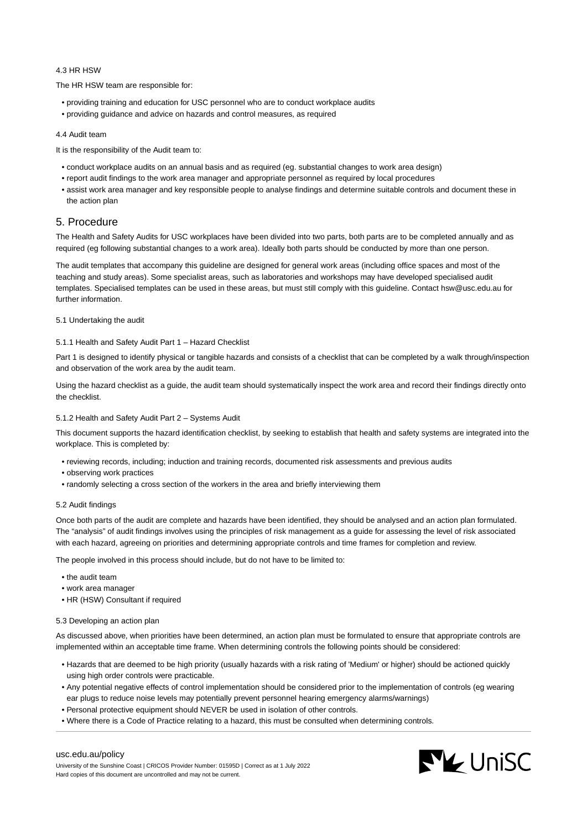## 4.3 HR HSW

The HR HSW team are responsible for:

- providing training and education for USC personnel who are to conduct workplace audits
- providing guidance and advice on hazards and control measures, as required

#### 4.4 Audit team

It is the responsibility of the Audit team to:

- conduct workplace audits on an annual basis and as required (eg. substantial changes to work area design)
- report audit findings to the work area manager and appropriate personnel as required by local procedures
- assist work area manager and key responsible people to analyse findings and determine suitable controls and document these in the action plan

## 5. Procedure

The Health and Safety Audits for USC workplaces have been divided into two parts, both parts are to be completed annually and as required (eg following substantial changes to a work area). Ideally both parts should be conducted by more than one person.

The audit templates that accompany this guideline are designed for general work areas (including office spaces and most of the teaching and study areas). Some specialist areas, such as laboratories and workshops may have developed specialised audit templates. Specialised templates can be used in these areas, but must still comply with this guideline. Contact hsw@usc.edu.au for further information.

### 5.1 Undertaking the audit

#### 5.1.1 Health and Safety Audit Part 1 – Hazard Checklist

Part 1 is designed to identify physical or tangible hazards and consists of a checklist that can be completed by a walk through/inspection and observation of the work area by the audit team.

Using the hazard checklist as a guide, the audit team should systematically inspect the work area and record their findings directly onto the checklist.

## 5.1.2 Health and Safety Audit Part 2 – Systems Audit

This document supports the hazard identification checklist, by seeking to establish that health and safety systems are integrated into the workplace. This is completed by:

- reviewing records, including; induction and training records, documented risk assessments and previous audits
- observing work practices
- randomly selecting a cross section of the workers in the area and briefly interviewing them

#### 5.2 Audit findings

Once both parts of the audit are complete and hazards have been identified, they should be analysed and an action plan formulated. The "analysis" of audit findings involves using the principles of risk management as a guide for assessing the level of risk associated with each hazard, agreeing on priorities and determining appropriate controls and time frames for completion and review.

The people involved in this process should include, but do not have to be limited to:

- the audit team
- work area manager
- HR (HSW) Consultant if required

#### 5.3 Developing an action plan

As discussed above, when priorities have been determined, an action plan must be formulated to ensure that appropriate controls are implemented within an acceptable time frame. When determining controls the following points should be considered:

- Hazards that are deemed to be high priority (usually hazards with a risk rating of 'Medium' or higher) should be actioned quickly using high order controls were practicable.
- Any potential negative effects of control implementation should be considered prior to the implementation of controls (eg wearing ear plugs to reduce noise levels may potentially prevent personnel hearing emergency alarms/warnings)
- Personal protective equipment should NEVER be used in isolation of other controls.
- Where there is a Code of Practice relating to a hazard, this must be consulted when determining controls.



### [usc.edu.au/policy](https://www.usc.edu.au/policy)

University of the Sunshine Coast | CRICOS Provider Number: 01595D | Correct as at 1 July 2022 Hard copies of this document are uncontrolled and may not be current.